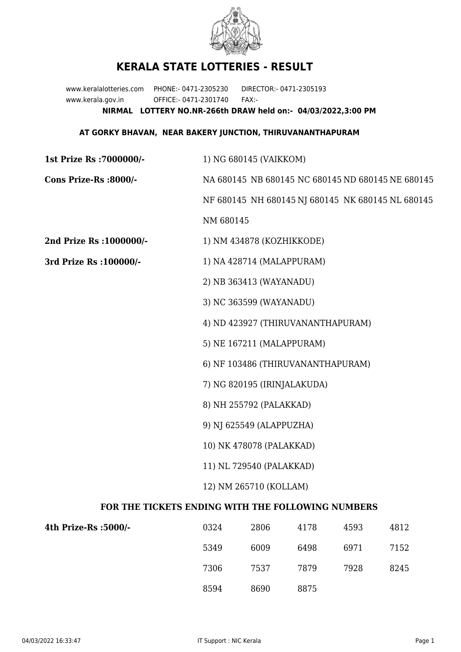

## **KERALA STATE LOTTERIES - RESULT**

www.keralalotteries.com PHONE:- 0471-2305230 DIRECTOR:- 0471-2305193 www.kerala.gov.in OFFICE:- 0471-2301740 FAX:- **NIRMAL LOTTERY NO.NR-266th DRAW held on:- 04/03/2022,3:00 PM**

## **AT GORKY BHAVAN, NEAR BAKERY JUNCTION, THIRUVANANTHAPURAM**

| 1st Prize Rs : 7000000/-                          | 1) NG 680145 (VAIKKOM)                                                                                                                     |       |      |      |                                                   |  |
|---------------------------------------------------|--------------------------------------------------------------------------------------------------------------------------------------------|-------|------|------|---------------------------------------------------|--|
| Cons Prize-Rs :8000/-                             | NA 680145 NB 680145 NC 680145 ND 680145 NE 680145                                                                                          |       |      |      |                                                   |  |
|                                                   |                                                                                                                                            |       |      |      | NF 680145 NH 680145 NJ 680145 NK 680145 NL 680145 |  |
|                                                   | NM 680145                                                                                                                                  |       |      |      |                                                   |  |
| 2nd Prize Rs : 1000000/-                          | 1) NM 434878 (KOZHIKKODE)                                                                                                                  |       |      |      |                                                   |  |
| 3rd Prize Rs : 100000/-                           | 1) NA 428714 (MALAPPURAM)<br>2) NB 363413 (WAYANADU)                                                                                       |       |      |      |                                                   |  |
|                                                   |                                                                                                                                            |       |      |      |                                                   |  |
|                                                   | 3) NC 363599 (WAYANADU)                                                                                                                    |       |      |      |                                                   |  |
|                                                   | 4) ND 423927 (THIRUVANANTHAPURAM)                                                                                                          |       |      |      |                                                   |  |
|                                                   | 5) NE 167211 (MALAPPURAM)<br>6) NF 103486 (THIRUVANANTHAPURAM)                                                                             |       |      |      |                                                   |  |
|                                                   |                                                                                                                                            |       |      |      |                                                   |  |
|                                                   | 7) NG 820195 (IRINJALAKUDA)<br>8) NH 255792 (PALAKKAD)<br>9) NJ 625549 (ALAPPUZHA)<br>10) NK 478078 (PALAKKAD)<br>11) NL 729540 (PALAKKAD) |       |      |      |                                                   |  |
|                                                   |                                                                                                                                            |       |      |      |                                                   |  |
|                                                   |                                                                                                                                            |       |      |      |                                                   |  |
|                                                   |                                                                                                                                            |       |      |      |                                                   |  |
|                                                   |                                                                                                                                            |       |      |      |                                                   |  |
|                                                   | 12) NM 265710 (KOLLAM)                                                                                                                     |       |      |      |                                                   |  |
| FOR THE TICKETS ENDING WITH THE FOLLOWING NUMBERS |                                                                                                                                            |       |      |      |                                                   |  |
| $4$ th Prize.Rs $\cdot$ 5000/.                    | 0324                                                                                                                                       | 2806- | 4178 | 4593 | 4812                                              |  |

| 4th Prize-Rs :5000/- | 0324 | 2806 | 4178 | 4593 | 4812 |
|----------------------|------|------|------|------|------|
|                      | 5349 | 6009 | 6498 | 6971 | 7152 |
|                      | 7306 | 7537 | 7879 | 7928 | 8245 |
|                      | 8594 | 8690 | 8875 |      |      |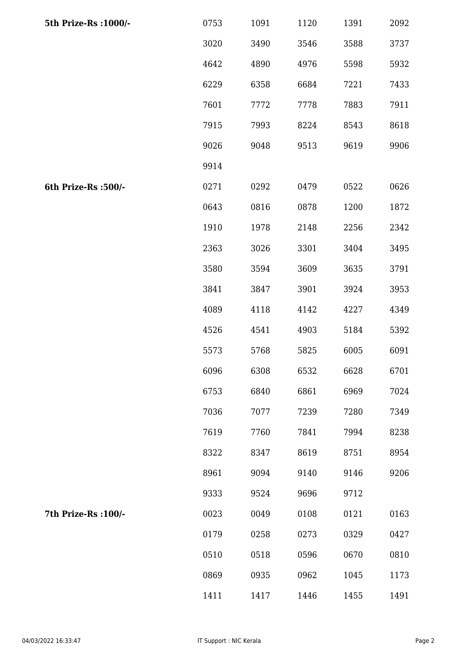| 5th Prize-Rs : 1000/- | 0753 | 1091 | 1120 | 1391 | 2092 |
|-----------------------|------|------|------|------|------|
|                       | 3020 | 3490 | 3546 | 3588 | 3737 |
|                       | 4642 | 4890 | 4976 | 5598 | 5932 |
|                       | 6229 | 6358 | 6684 | 7221 | 7433 |
|                       | 7601 | 7772 | 7778 | 7883 | 7911 |
|                       | 7915 | 7993 | 8224 | 8543 | 8618 |
|                       | 9026 | 9048 | 9513 | 9619 | 9906 |
|                       | 9914 |      |      |      |      |
| 6th Prize-Rs :500/-   | 0271 | 0292 | 0479 | 0522 | 0626 |
|                       | 0643 | 0816 | 0878 | 1200 | 1872 |
|                       | 1910 | 1978 | 2148 | 2256 | 2342 |
|                       | 2363 | 3026 | 3301 | 3404 | 3495 |
|                       | 3580 | 3594 | 3609 | 3635 | 3791 |
|                       | 3841 | 3847 | 3901 | 3924 | 3953 |
|                       | 4089 | 4118 | 4142 | 4227 | 4349 |
|                       | 4526 | 4541 | 4903 | 5184 | 5392 |
|                       | 5573 | 5768 | 5825 | 6005 | 6091 |
|                       | 6096 | 6308 | 6532 | 6628 | 6701 |
|                       | 6753 | 6840 | 6861 | 6969 | 7024 |
|                       | 7036 | 7077 | 7239 | 7280 | 7349 |
|                       | 7619 | 7760 | 7841 | 7994 | 8238 |
|                       | 8322 | 8347 | 8619 | 8751 | 8954 |
|                       | 8961 | 9094 | 9140 | 9146 | 9206 |
|                       | 9333 | 9524 | 9696 | 9712 |      |
| 7th Prize-Rs : 100/-  | 0023 | 0049 | 0108 | 0121 | 0163 |
|                       | 0179 | 0258 | 0273 | 0329 | 0427 |
|                       | 0510 | 0518 | 0596 | 0670 | 0810 |
|                       | 0869 | 0935 | 0962 | 1045 | 1173 |
|                       | 1411 | 1417 | 1446 | 1455 | 1491 |